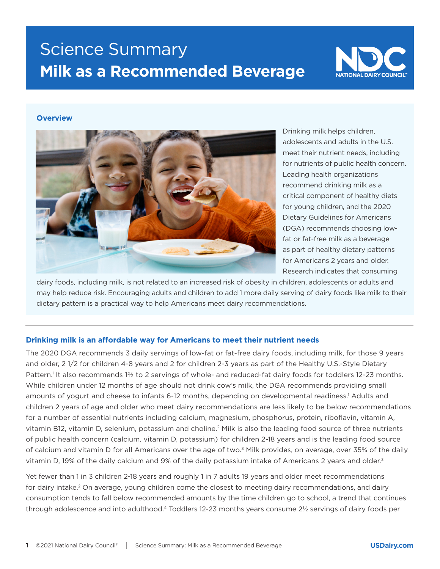# Science Summary **Milk as a Recommended Beverage**



### **Overview**



Drinking milk helps children, adolescents and adults in the U.S. meet their nutrient needs, including for nutrients of public health concern. Leading health organizations recommend drinking milk as a critical component of healthy diets for young children, and the 2020 Dietary Guidelines for Americans (DGA) recommends choosing lowfat or fat-free milk as a beverage as part of healthy dietary patterns for Americans 2 years and older. Research indicates that consuming

dairy foods, including milk, is not related to an increased risk of obesity in children, adolescents or adults and may help reduce risk. Encouraging adults and children to add 1 more daily serving of dairy foods like milk to their dietary pattern is a practical way to help Americans meet dairy recommendations.

#### **Drinking milk is an affordable way for Americans to meet their nutrient needs**

The 2020 DGA recommends 3 daily servings of low-fat or fat-free dairy foods, including milk, for those 9 years and older, 2 1/2 for children 4-8 years and 2 for children 2-3 years as part of the Healthy U.S.-Style Dietary Pattern.<sup>1</sup> It also recommends 1⅔ to 2 servings of whole- and reduced-fat dairy foods for toddlers 12-23 months. While children under 12 months of age should not drink cow's milk, the DGA recommends providing small amounts of yogurt and cheese to infants 6-12 months, depending on developmental readiness.<sup>1</sup> Adults and children 2 years of age and older who meet dairy recommendations are less likely to be below recommendations for a number of essential nutrients including calcium, magnesium, phosphorus, protein, riboflavin, vitamin A, vitamin B12, vitamin D, selenium, potassium and choline.2 Milk is also the leading food source of three nutrients of public health concern (calcium, vitamin D, potassium) for children 2-18 years and is the leading food source of calcium and vitamin D for all Americans over the age of two.<sup>3</sup> Milk provides, on average, over 35% of the daily vitamin D, 19% of the daily calcium and 9% of the daily potassium intake of Americans 2 years and older.<sup>3</sup>

Yet fewer than 1 in 3 children 2-18 years and roughly 1 in 7 adults 19 years and older meet recommendations for dairy intake.<sup>2</sup> On average, young children come the closest to meeting dairy recommendations, and dairy consumption tends to fall below recommended amounts by the time children go to school, a trend that continues through adolescence and into adulthood.4 Toddlers 12-23 months years consume 2½ servings of dairy foods per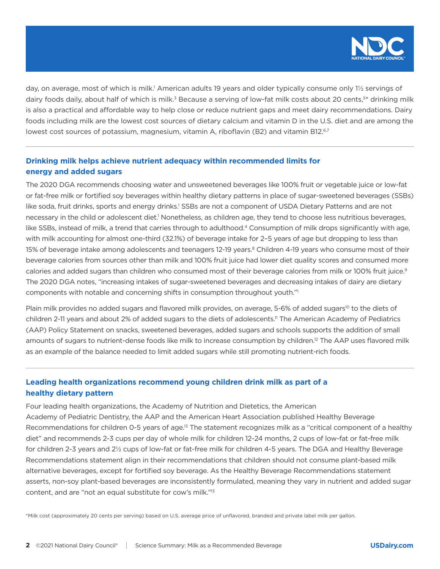

day, on average, most of which is milk.<sup>1</sup> American adults 19 years and older typically consume only 1½ servings of dairy foods daily, about half of which is milk.<sup>3</sup> Because a serving of low-fat milk costs about 20 cents,<sup>5\*</sup> drinking milk is also a practical and affordable way to help close or reduce nutrient gaps and meet dairy recommendations. Dairy foods including milk are the lowest cost sources of dietary calcium and vitamin D in the U.S. diet and are among the lowest cost sources of potassium, magnesium, vitamin A, riboflavin (B2) and vitamin B12.<sup>6,7</sup>

## **Drinking milk helps achieve nutrient adequacy within recommended limits for energy and added sugars**

The 2020 DGA recommends choosing water and unsweetened beverages like 100% fruit or vegetable juice or low-fat or fat-free milk or fortified soy beverages within healthy dietary patterns in place of sugar-sweetened beverages (SSBs) like soda, fruit drinks, sports and energy drinks.<sup>1</sup> SSBs are not a component of USDA Dietary Patterns and are not necessary in the child or adolescent diet.<sup>1</sup> Nonetheless, as children age, they tend to choose less nutritious beverages, like SSBs, instead of milk, a trend that carries through to adulthood.4 Consumption of milk drops significantly with age, with milk accounting for almost one-third (32.1%) of beverage intake for 2–5 years of age but dropping to less than 15% of beverage intake among adolescents and teenagers 12-19 years.<sup>8</sup> Children 4-19 years who consume most of their beverage calories from sources other than milk and 100% fruit juice had lower diet quality scores and consumed more calories and added sugars than children who consumed most of their beverage calories from milk or 100% fruit juice.<sup>9</sup> The 2020 DGA notes, "increasing intakes of sugar-sweetened beverages and decreasing intakes of dairy are dietary components with notable and concerning shifts in consumption throughout youth."1

Plain milk provides no added sugars and flavored milk provides, on average, 5-6% of added sugars<sup>10</sup> to the diets of children 2-11 years and about 2% of added sugars to the diets of adolescents.<sup>11</sup> The American Academy of Pediatrics (AAP) Policy Statement on snacks, sweetened beverages, added sugars and schools supports the addition of small amounts of sugars to nutrient-dense foods like milk to increase consumption by children.<sup>12</sup> The AAP uses flavored milk as an example of the balance needed to limit added sugars while still promoting nutrient-rich foods.

## **Leading health organizations recommend young children drink milk as part of a healthy dietary pattern**

Four leading health organizations, the Academy of Nutrition and Dietetics, the American Academy of Pediatric Dentistry, the AAP and the American Heart Association published Healthy Beverage Recommendations for children 0-5 years of age.<sup>13</sup> The statement recognizes milk as a "critical component of a healthy diet" and recommends 2-3 cups per day of whole milk for children 12-24 months, 2 cups of low-fat or fat-free milk for children 2-3 years and 2½ cups of low-fat or fat-free milk for children 4-5 years. The DGA and Healthy Beverage Recommendations statement align in their recommendations that children should not consume plant-based milk alternative beverages, except for fortified soy beverage. As the Healthy Beverage Recommendations statement asserts, non-soy plant-based beverages are inconsistently formulated, meaning they vary in nutrient and added sugar content, and are "not an equal substitute for cow's milk."13

\*Milk cost (approximately 20 cents per serving) based on U.S. average price of unflavored, branded and private label milk per gallon.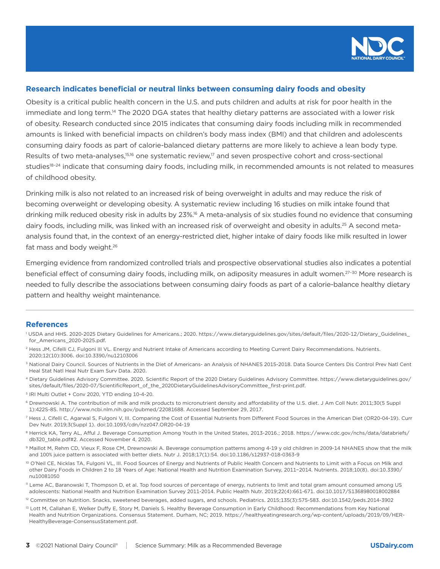

## **Research indicates beneficial or neutral links between consuming dairy foods and obesity**

Obesity is a critical public health concern in the U.S. and puts children and adults at risk for poor health in the immediate and long term.<sup>14</sup> The 2020 DGA states that healthy dietary patterns are associated with a lower risk of obesity. Research conducted since 2015 indicates that consuming dairy foods including milk in recommended amounts is linked with beneficial impacts on children's body mass index (BMI) and that children and adolescents consuming dairy foods as part of calorie-balanced dietary patterns are more likely to achieve a lean body type. Results of two meta-analyses, $15,16$  one systematic review,<sup>17</sup> and seven prospective cohort and cross-sectional studies<sup>18-24</sup> indicate that consuming dairy foods, including milk, in recommended amounts is not related to measures of childhood obesity.

Drinking milk is also not related to an increased risk of being overweight in adults and may reduce the risk of becoming overweight or developing obesity. A systematic review including 16 studies on milk intake found that drinking milk reduced obesity risk in adults by 23%.16 A meta-analysis of six studies found no evidence that consuming dairy foods, including milk, was linked with an increased risk of overweight and obesity in adults.<sup>25</sup> A second metaanalysis found that, in the context of an energy-restricted diet, higher intake of dairy foods like milk resulted in lower fat mass and body weight.<sup>26</sup>

Emerging evidence from randomized controlled trials and prospective observational studies also indicates a potential beneficial effect of consuming dairy foods, including milk, on adiposity measures in adult women.<sup>27-30</sup> More research is needed to fully describe the associations between consuming dairy foods as part of a calorie-balance healthy dietary pattern and healthy weight maintenance.

#### **References**

- 1 USDA and HHS. 2020-2025 Dietary Guidelines for Americans.; 2020. https://www.dietaryguidelines.gov/sites/default/files/2020-12/Dietary\_Guidelines\_ for\_Americans\_2020-2025.pdf.
- <sup>2</sup> Hess JM, Cifelli CJ, Fulgoni III VL. Energy and Nutrient Intake of Americans according to Meeting Current Dairy Recommendations. Nutrients. 2020;12(10):3006. doi:10.3390/nu12103006
- <sup>3</sup> National Dairy Council. Sources of Nutrients in the Diet of Americans- an Analysis of NHANES 2015-2018. Data Source Centers Dis Control Prev Natl Cent Heal Stat Natl Heal Nutr Exam Surv Data. 2020.
- 4 Dietary Guidelines Advisory Committee. 2020. Scientific Report of the 2020 Dietary Guidelines Advisory Committee. https://www.dietaryguidelines.gov/ sites/default/files/2020-07/ScientificReport\_of\_the\_2020DietaryGuidelinesAdvisoryCommittee\_first-print.pdf.
- 5 IRI Multi Outlet + Conv 2020, YTD ending 10-4-20.
- 6 Drewnowski A. The contribution of milk and milk products to micronutrient density and affordability of the U.S. diet. J Am Coll Nutr. 2011;30(5 Suppl 1):422S-8S. http://www.ncbi.nlm.nih.gov/pubmed/22081688. Accessed September 29, 2017.
- 7 Hess J, Cifelli C, Agarwal S, Fulgoni V, III. Comparing the Cost of Essential Nutrients from Different Food Sources in the American Diet (OR20-04-19). Curr Dev Nutr. 2019;3(Suppl 1). doi:10.1093/cdn/nzz047.OR20-04-19
- <sup>8</sup> Herrick KA, Terry AL, Afful J. Beverage Consumption Among Youth in the United States, 2013-2016.; 2018. https://www.cdc.gov/nchs/data/databriefs/ db320\_table.pdf#2. Accessed November 4, 2020.
- 9 Maillot M, Rehm CD, Vieux F, Rose CM, Drewnowski A. Beverage consumption patterns among 4-19 y old children in 2009-14 NHANES show that the milk and 100% juice pattern is associated with better diets. Nutr J. 2018;17(1):54. doi:10.1186/s12937-018-0363-9
- <sup>10</sup> O'Neil CE, Nicklas TA, Fulgoni VL, III. Food Sources of Energy and Nutrients of Public Health Concern and Nutrients to Limit with a Focus on Milk and other Dairy Foods in Children 2 to 18 Years of Age: National Health and Nutrition Examination Survey, 2011−2014. Nutrients. 2018;10(8). doi:10.3390/ nu10081050
- 11 Leme AC, Baranowski T, Thompson D, et al. Top food sources of percentage of energy, nutrients to limit and total gram amount consumed among US adolescents: National Health and Nutrition Examination Survey 2011-2014. Public Health Nutr. 2019;22(4):661-671. doi:10.1017/S1368980018002884
- 12 Committee on Nutrition. Snacks, sweetened beverages, added sugars, and schools. Pediatrics. 2015;135(3):575-583. doi:10.1542/peds.2014-3902
- <sup>13</sup> Lott M, Callahan E, Welker Duffy E, Story M, Daniels S. Healthy Beverage Consumption in Early Childhood: Recommendations from Key National Health and Nutrition Organizations. Consensus Statement. Durham, NC; 2019. https://healthyeatingresearch.org/wp-content/uploads/2019/09/HER-HealthyBeverage-ConsensusStatement.pdf.